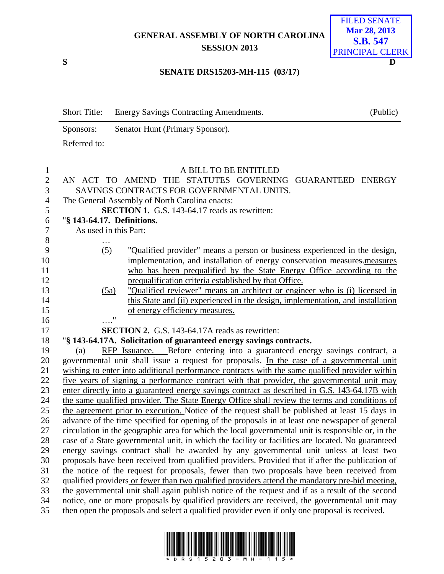# **GENERAL ASSEMBLY OF NORTH CAROLINA SESSION 2013**



### **SENATE DRS15203-MH-115 (03/17)**

|              | Short Title: Energy Savings Contracting Amendments. | (Public) |
|--------------|-----------------------------------------------------|----------|
| Sponsors:    | Senator Hunt (Primary Sponsor).                     |          |
| Referred to: |                                                     |          |

| $\mathbf{1}$   | A BILL TO BE ENTITLED                                                                                                                                                                                 |
|----------------|-------------------------------------------------------------------------------------------------------------------------------------------------------------------------------------------------------|
| $\sqrt{2}$     | AN ACT TO AMEND THE STATUTES GOVERNING GUARANTEED ENERGY                                                                                                                                              |
| 3              | SAVINGS CONTRACTS FOR GOVERNMENTAL UNITS.                                                                                                                                                             |
| $\overline{4}$ | The General Assembly of North Carolina enacts:                                                                                                                                                        |
| 5              | SECTION 1. G.S. 143-64.17 reads as rewritten:                                                                                                                                                         |
| 6              | "§ 143-64.17. Definitions.                                                                                                                                                                            |
| $\tau$         | As used in this Part:                                                                                                                                                                                 |
| 8              |                                                                                                                                                                                                       |
| 9              | (5)<br>"Qualified provider" means a person or business experienced in the design,                                                                                                                     |
| 10             | implementation, and installation of energy conservation measures.measures                                                                                                                             |
| 11             | who has been prequalified by the State Energy Office according to the                                                                                                                                 |
| 12             | prequalification criteria established by that Office.                                                                                                                                                 |
| 13             | "Qualified reviewer" means an architect or engineer who is (i) licensed in<br>(5a)                                                                                                                    |
| 14             | this State and (ii) experienced in the design, implementation, and installation                                                                                                                       |
| 15             | of energy efficiency measures.                                                                                                                                                                        |
| 16             | $\pmb{\mathsf{H}}$                                                                                                                                                                                    |
| 17             | <b>SECTION 2.</b> G.S. 143-64.17A reads as rewritten:                                                                                                                                                 |
| 18             | "§ 143-64.17A. Solicitation of guaranteed energy savings contracts.                                                                                                                                   |
| 19             | $RFP$ Issuance. - Before entering into a guaranteed energy savings contract, a<br>(a)                                                                                                                 |
| 20             | governmental unit shall issue a request for proposals. In the case of a governmental unit                                                                                                             |
| 21             | wishing to enter into additional performance contracts with the same qualified provider within                                                                                                        |
| 22             | five years of signing a performance contract with that provider, the governmental unit may                                                                                                            |
| 23             | enter directly into a guaranteed energy savings contract as described in G.S. 143-64.17B with                                                                                                         |
| 24             | the same qualified provider. The State Energy Office shall review the terms and conditions of                                                                                                         |
| 25<br>26       | the agreement prior to execution. Notice of the request shall be published at least 15 days in                                                                                                        |
| 27             | advance of the time specified for opening of the proposals in at least one newspaper of general<br>circulation in the geographic area for which the local governmental unit is responsible or, in the |
| 28             | case of a State governmental unit, in which the facility or facilities are located. No guaranteed                                                                                                     |
| 29             | energy savings contract shall be awarded by any governmental unit unless at least two                                                                                                                 |
| 30             | proposals have been received from qualified providers. Provided that if after the publication of                                                                                                      |
| 31             | the notice of the request for proposals, fewer than two proposals have been received from                                                                                                             |
| 32             | qualified providers or fewer than two qualified providers attend the mandatory pre-bid meeting,                                                                                                       |
| 33             | the governmental unit shall again publish notice of the request and if as a result of the second                                                                                                      |
| 34             | notice, one or more proposals by qualified providers are received, the governmental unit may                                                                                                          |
| 35             | then open the proposals and select a qualified provider even if only one proposal is received.                                                                                                        |
|                |                                                                                                                                                                                                       |

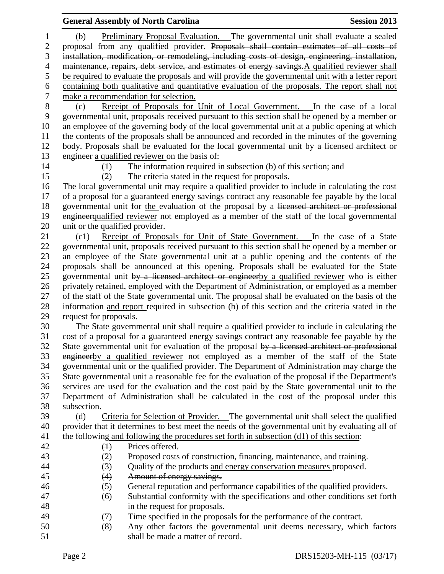## **General Assembly of North Carolina Session 2013**

 (b) Preliminary Proposal Evaluation. – The governmental unit shall evaluate a sealed proposal from any qualified provider. Proposals shall contain estimates of all costs of installation, modification, or remodeling, including costs of design, engineering, installation, maintenance, repairs, debt service, and estimates of energy savings.A qualified reviewer shall be required to evaluate the proposals and will provide the governmental unit with a letter report 6 containing both qualitative and quantitative evaluation of the proposals. The report shall not make a recommendation for selection. make a recommendation for selection.

 (c) Receipt of Proposals for Unit of Local Government. – In the case of a local governmental unit, proposals received pursuant to this section shall be opened by a member or an employee of the governing body of the local governmental unit at a public opening at which the contents of the proposals shall be announced and recorded in the minutes of the governing 12 body. Proposals shall be evaluated for the local governmental unit by a licensed architect or engineer a qualified reviewer on the basis of:

(1) The information required in subsection (b) of this section; and

(2) The criteria stated in the request for proposals.

 The local governmental unit may require a qualified provider to include in calculating the cost of a proposal for a guaranteed energy savings contract any reasonable fee payable by the local 18 governmental unit for the evaluation of the proposal by a licensed architect or professional 19 engineer qualified reviewer not employed as a member of the staff of the local governmental unit or the qualified provider.

 (c1) Receipt of Proposals for Unit of State Government. – In the case of a State governmental unit, proposals received pursuant to this section shall be opened by a member or an employee of the State governmental unit at a public opening and the contents of the proposals shall be announced at this opening. Proposals shall be evaluated for the State 25 governmental unit by a licensed architect or engineerby a qualified reviewer who is either privately retained, employed with the Department of Administration, or employed as a member of the staff of the State governmental unit. The proposal shall be evaluated on the basis of the information and report required in subsection (b) of this section and the criteria stated in the request for proposals.

 The State governmental unit shall require a qualified provider to include in calculating the cost of a proposal for a guaranteed energy savings contract any reasonable fee payable by the 32 State governmental unit for evaluation of the proposal by a licensed architect or professional engineerby a qualified reviewer not employed as a member of the staff of the State governmental unit or the qualified provider. The Department of Administration may charge the State governmental unit a reasonable fee for the evaluation of the proposal if the Department's services are used for the evaluation and the cost paid by the State governmental unit to the Department of Administration shall be calculated in the cost of the proposal under this subsection.

 (d) Criteria for Selection of Provider. – The governmental unit shall select the qualified provider that it determines to best meet the needs of the governmental unit by evaluating all of the following and following the procedures set forth in subsection (d1) of this section:

 (1) Prices offered. (2) Proposed costs of construction, financing, maintenance, and training.

- (3) Quality of the products and energy conservation measures proposed.
- 45 (4) Amount of energy savings.
- (5) General reputation and performance capabilities of the qualified providers.
- (6) Substantial conformity with the specifications and other conditions set forth in the request for proposals.
- (7) Time specified in the proposals for the performance of the contract.
- (8) Any other factors the governmental unit deems necessary, which factors 51 shall be made a matter of record.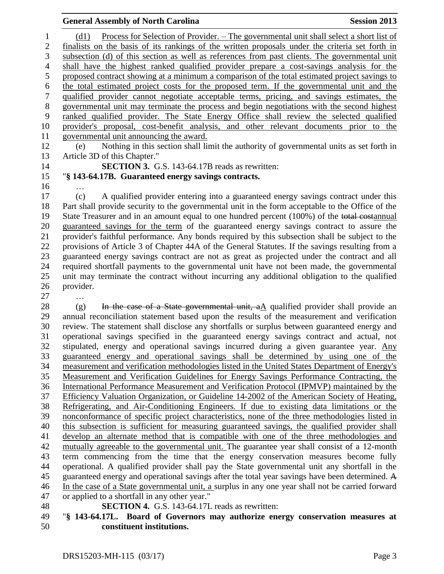(d1) Process for Selection of Provider. – The governmental unit shall select a short list of finalists on the basis of its rankings of the written proposals under the criteria set forth in subsection (d) of this section as well as references from past clients. The governmental unit shall have the highest ranked qualified provider prepare a cost-savings analysis for the proposed contract showing at a minimum a comparison of the total estimated project savings to the total estimated project costs for the proposed term. If the governmental unit and the qualified provider cannot negotiate acceptable terms, pricing, and savings estimates, the governmental unit may terminate the process and begin negotiations with the second highest ranked qualified provider. The State Energy Office shall review the selected qualified provider's proposal, cost-benefit analysis, and other relevant documents prior to the governmental unit announcing the award.

 (e) Nothing in this section shall limit the authority of governmental units as set forth in Article 3D of this Chapter."

**SECTION 3.** G.S. 143-64.17B reads as rewritten:

# "**§ 143-64.17B. Guaranteed energy savings contracts.**

…

 (c) A qualified provider entering into a guaranteed energy savings contract under this Part shall provide security to the governmental unit in the form acceptable to the Office of the 19 State Treasurer and in an amount equal to one hundred percent (100%) of the total costannual guaranteed savings for the term of the guaranteed energy savings contract to assure the provider's faithful performance. Any bonds required by this subsection shall be subject to the provisions of Article 3 of Chapter 44A of the General Statutes. If the savings resulting from a guaranteed energy savings contract are not as great as projected under the contract and all required shortfall payments to the governmental unit have not been made, the governmental unit may terminate the contract without incurring any additional obligation to the qualified provider. …

28 (g) In the case of a State governmental unit,  $aA$  qualified provider shall provide an annual reconciliation statement based upon the results of the measurement and verification review. The statement shall disclose any shortfalls or surplus between guaranteed energy and operational savings specified in the guaranteed energy savings contract and actual, not stipulated, energy and operational savings incurred during a given guarantee year. Any guaranteed energy and operational savings shall be determined by using one of the measurement and verification methodologies listed in the United States Department of Energy's Measurement and Verification Guidelines for Energy Savings Performance Contracting, the International Performance Measurement and Verification Protocol (IPMVP) maintained by the Efficiency Valuation Organization, or Guideline 14-2002 of the American Society of Heating, Refrigerating, and Air-Conditioning Engineers. If due to existing data limitations or the nonconformance of specific project characteristics, none of the three methodologies listed in this subsection is sufficient for measuring guaranteed savings, the qualified provider shall develop an alternate method that is compatible with one of the three methodologies and mutually agreeable to the governmental unit. The guarantee year shall consist of a 12-month term commencing from the time that the energy conservation measures become fully operational. A qualified provider shall pay the State governmental unit any shortfall in the guaranteed energy and operational savings after the total year savings have been determined. A In the case of a State governmental unit, a surplus in any one year shall not be carried forward or applied to a shortfall in any other year."

**SECTION 4.** G.S. 143-64.17L reads as rewritten:

 "**§ 143-64.17L. Board of Governors may authorize energy conservation measures at constituent institutions.**